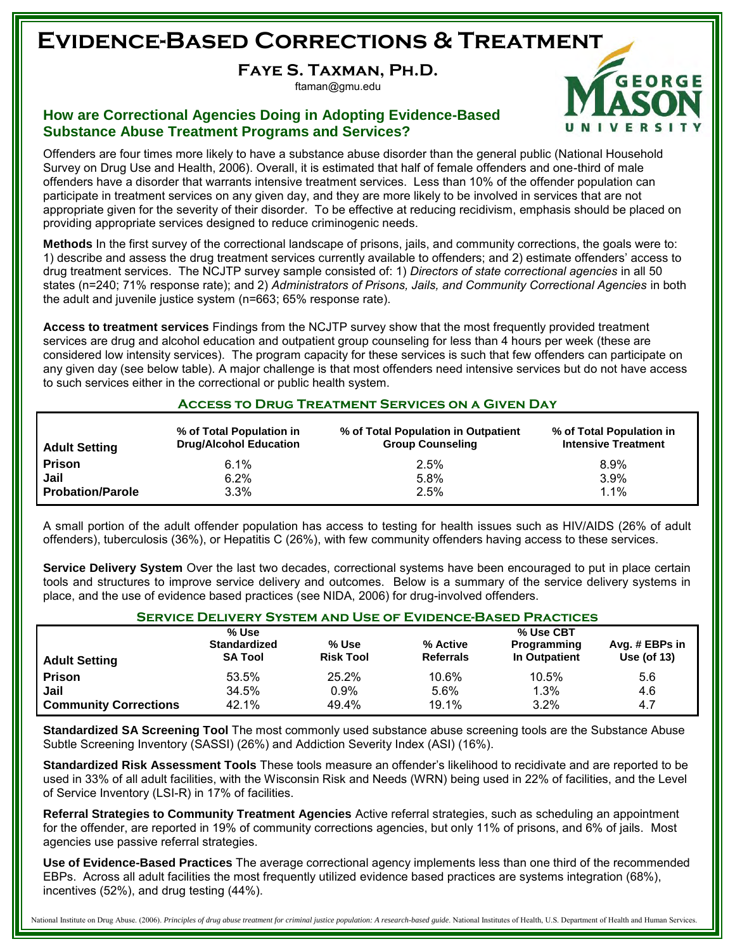### **Evidence-Based Corrections & Treatment**

**Faye S. Taxman, Ph.D.**

ftaman@gmu.edu

#### **How are Correctional Agencies Doing in Adopting Evidence-Based Substance Abuse Treatment Programs and Services?**

**GEORGE** 

Offenders are four times more likely to have a substance abuse disorder than the general public (National Household Survey on Drug Use and Health, 2006). Overall, it is estimated that half of female offenders and one-third of male offenders have a disorder that warrants intensive treatment services. Less than 10% of the offender population can participate in treatment services on any given day, and they are more likely to be involved in services that are not appropriate given for the severity of their disorder. To be effective at reducing recidivism, emphasis should be placed on providing appropriate services designed to reduce criminogenic needs.

**Methods** In the first survey of the correctional landscape of prisons, jails, and community corrections, the goals were to: 1) describe and assess the drug treatment services currently available to offenders; and 2) estimate offenders' access to drug treatment services. The NCJTP survey sample consisted of: 1) *Directors of state correctional agencies* in all 50 states (n=240; 71% response rate); and 2) *Administrators of Prisons, Jails, and Community Correctional Agencies* in both the adult and juvenile justice system (n=663; 65% response rate).

**Access to treatment services** Findings from the NCJTP survey show that the most frequently provided treatment services are drug and alcohol education and outpatient group counseling for less than 4 hours per week (these are considered low intensity services). The program capacity for these services is such that few offenders can participate on any given day (see below table). A major challenge is that most offenders need intensive services but do not have access to such services either in the correctional or public health system.

#### **Access to Drug Treatment Services on a Given Day**

| <b>Adult Setting</b>    | % of Total Population in<br><b>Drug/Alcohol Education</b> | % of Total Population in Outpatient<br><b>Group Counseling</b> | % of Total Population in<br><b>Intensive Treatment</b> |
|-------------------------|-----------------------------------------------------------|----------------------------------------------------------------|--------------------------------------------------------|
| <b>Prison</b>           | $6.1\%$                                                   | 2.5%                                                           | 8.9%                                                   |
| Jail                    | 6.2%                                                      | 5.8%                                                           | $3.9\%$                                                |
| <b>Probation/Parole</b> | $3.3\%$                                                   | 2.5%                                                           | 1.1%                                                   |

A small portion of the adult offender population has access to testing for health issues such as HIV/AIDS (26% of adult offenders), tuberculosis (36%), or Hepatitis C (26%), with few community offenders having access to these services.

**Service Delivery System** Over the last two decades, correctional systems have been encouraged to put in place certain tools and structures to improve service delivery and outcomes. Below is a summary of the service delivery systems in place, and the use of evidence based practices (see NIDA, 2006) for drug-involved offenders.

#### **Service Delivery System and Use of Evidence-Based Practices**

| % Use                        |                                       | % Use CBT                 |                              |                              |                               |
|------------------------------|---------------------------------------|---------------------------|------------------------------|------------------------------|-------------------------------|
| <b>Adult Setting</b>         | <b>Standardized</b><br><b>SA Tool</b> | % Use<br><b>Risk Tool</b> | % Active<br><b>Referrals</b> | Programming<br>In Outpatient | Avg. # EBPs in<br>Use (of 13) |
| <b>Prison</b>                | 53.5%                                 | 25.2%                     | 10.6%                        | 10.5%                        | 5.6                           |
| Jail                         | 34.5%                                 | $0.9\%$                   | 5.6%                         | 1.3%                         | 4.6                           |
| <b>Community Corrections</b> | 42.1%                                 | 49.4%                     | 19.1%                        | 3.2%                         | 4.7                           |

**Standardized SA Screening Tool** The most commonly used substance abuse screening tools are the Substance Abuse Subtle Screening Inventory (SASSI) (26%) and Addiction Severity Index (ASI) (16%).

**Standardized Risk Assessment Tools** These tools measure an offender's likelihood to recidivate and are reported to be used in 33% of all adult facilities, with the Wisconsin Risk and Needs (WRN) being used in 22% of facilities, and the Level of Service Inventory (LSI-R) in 17% of facilities.

**Referral Strategies to Community Treatment Agencies** Active referral strategies, such as scheduling an appointment for the offender, are reported in 19% of community corrections agencies, but only 11% of prisons, and 6% of jails. Most agencies use passive referral strategies.

**Use of Evidence-Based Practices** The average correctional agency implements less than one third of the recommended EBPs. Across all adult facilities the most frequently utilized evidence based practices are systems integration (68%), incentives (52%), and drug testing (44%).

National Institute on Drug Abuse. (2006). Principles of drug abuse treatment for criminal justice population: A research-based guide. National Institutes of Health, U.S. Department of Health and Human Services.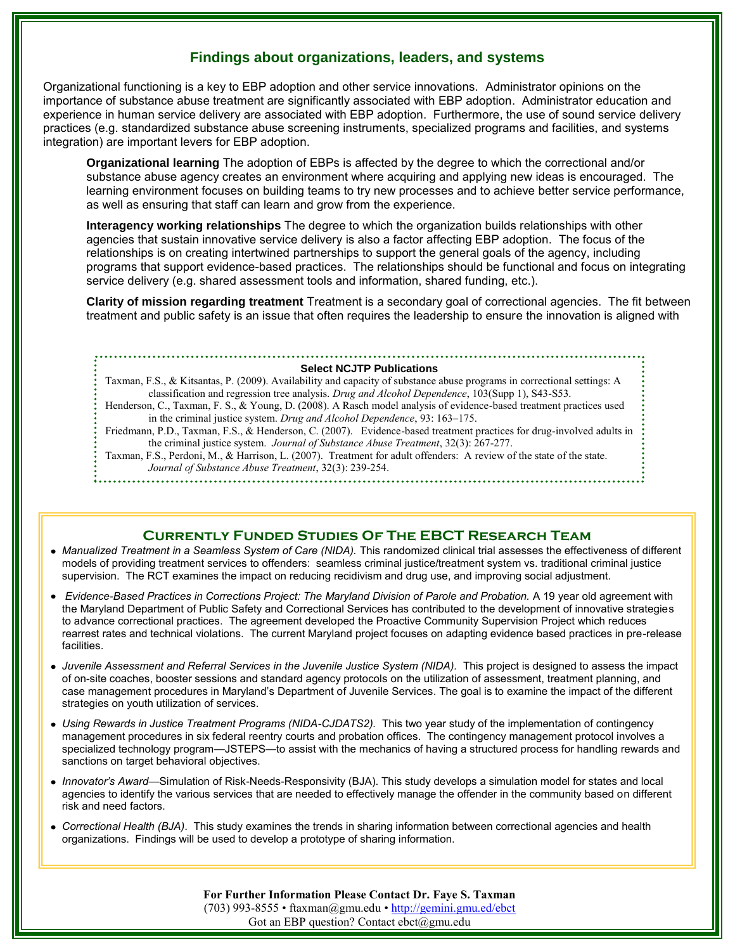#### **Findings about organizations, leaders, and systems**

Organizational functioning is a key to EBP adoption and other service innovations. Administrator opinions on the importance of substance abuse treatment are significantly associated with EBP adoption. Administrator education and experience in human service delivery are associated with EBP adoption. Furthermore, the use of sound service delivery practices (e.g. standardized substance abuse screening instruments, specialized programs and facilities, and systems integration) are important levers for EBP adoption.

**Organizational learning** The adoption of EBPs is affected by the degree to which the correctional and/or substance abuse agency creates an environment where acquiring and applying new ideas is encouraged. The learning environment focuses on building teams to try new processes and to achieve better service performance, as well as ensuring that staff can learn and grow from the experience.

**Interagency working relationships** The degree to which the organization builds relationships with other agencies that sustain innovative service delivery is also a factor affecting EBP adoption. The focus of the relationships is on creating intertwined partnerships to support the general goals of the agency, including programs that support evidence-based practices. The relationships should be functional and focus on integrating service delivery (e.g. shared assessment tools and information, shared funding, etc.).

**Clarity of mission regarding treatment** Treatment is a secondary goal of correctional agencies. The fit between treatment and public safety is an issue that often requires the leadership to ensure the innovation is aligned with

#### **Select NCJTP Publications**

Taxman, F.S., & Kitsantas, P. (2009). Availability and capacity of substance abuse programs in correctional settings: A classification and regression tree analysis. *Drug and Alcohol Dependence*, 103(Supp 1), S43-S53. Henderson, C., Taxman, F. S., & Young, D. (2008). A Rasch model analysis of evidence-based treatment practices used in the criminal justice system. *Drug and Alcohol Dependence*, 93: 163–175. Friedmann, P.D., Taxman, F.S., & Henderson, C. (2007). Evidence-based treatment practices for drug-involved adults in the criminal justice system. *Journal of Substance Abuse Treatment*, 32(3): 267-277. Taxman, F.S., Perdoni, M., & Harrison, L. (2007). Treatment for adult offenders: A review of the state of the state. *Journal of Substance Abuse Treatment*, 32(3): 239-254. 

#### **Currently Funded Studies Of The EBCT Research Team**

- *Manualized Treatment in a Seamless System of Care (NIDA).* This randomized clinical trial assesses the effectiveness of different models of providing treatment services to offenders: seamless criminal justice/treatment system vs. traditional criminal justice supervision. The RCT examines the impact on reducing recidivism and drug use, and improving social adjustment.
- *Evidence-Based Practices in Corrections Project: The Maryland Division of Parole and Probation.* A 19 year old agreement with the Maryland Department of Public Safety and Correctional Services has contributed to the development of innovative strategies to advance correctional practices. The agreement developed the Proactive Community Supervision Project which reduces rearrest rates and technical violations. The current Maryland project focuses on adapting evidence based practices in pre-release facilities.
- *Juvenile Assessment and Referral Services in the Juvenile Justice System (NIDA).* This project is designed to assess the impact of on-site coaches, booster sessions and standard agency protocols on the utilization of assessment, treatment planning, and case management procedures in Maryland's Department of Juvenile Services. The goal is to examine the impact of the different strategies on youth utilization of services.
- *Using Rewards in Justice Treatment Programs (NIDA-CJDATS2).* This two year study of the implementation of contingency management procedures in six federal reentry courts and probation offices. The contingency management protocol involves a specialized technology program—JSTEPS—to assist with the mechanics of having a structured process for handling rewards and sanctions on target behavioral objectives.
- *Innovator's Award*—Simulation of Risk-Needs-Responsivity (BJA). This study develops a simulation model for states and local agencies to identify the various services that are needed to effectively manage the offender in the community based on different risk and need factors.
- *Correctional Health (BJA)*. This study examines the trends in sharing information between correctional agencies and health organizations. Findings will be used to develop a prototype of sharing information.

**For Further Information Please Contact Dr. Faye S. Taxman** (703) 993-8555 • [ftaxman@gmu.edu](mailto:ftaxman@gmu.edu) • <http://gemini.gmu.ed/ebct> Got an EBP question? Contact ebct@gmu.edu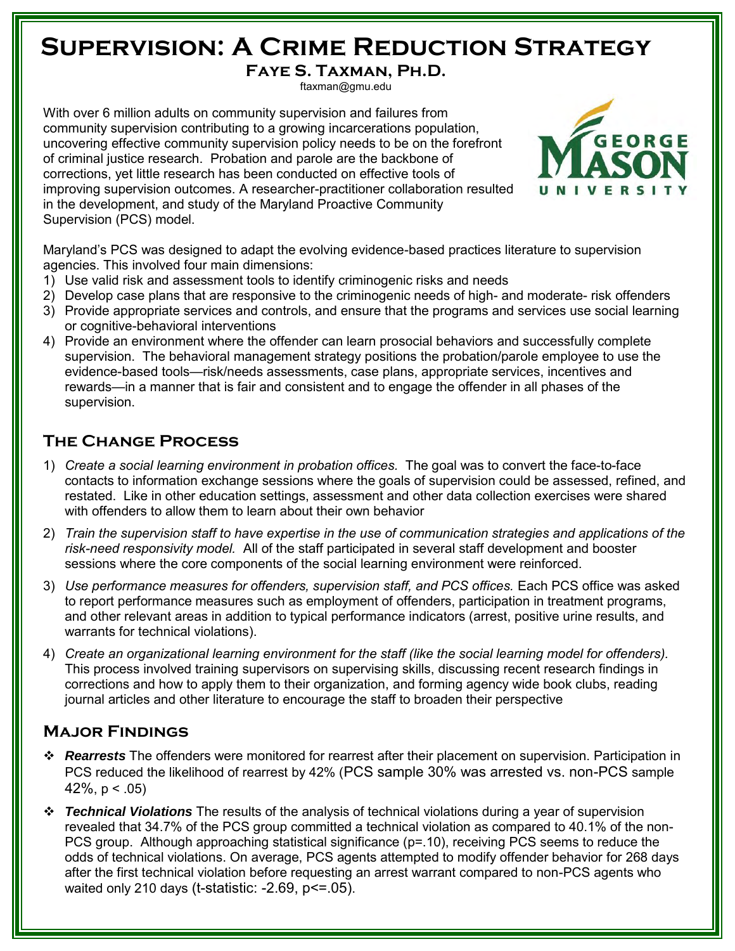### **Supervision: A Crime Reduction Strategy**

**Faye S. Taxman, Ph.D.**

ftaxman@gmu.edu

With over 6 million adults on community supervision and failures from community supervision contributing to a growing incarcerations population, uncovering effective community supervision policy needs to be on the forefront of criminal justice research. Probation and parole are the backbone of corrections, yet little research has been conducted on effective tools of improving supervision outcomes. A researcher-practitioner collaboration resulted in the development, and study of the Maryland Proactive Community Supervision (PCS) model.



Maryland's PCS was designed to adapt the evolving evidence-based practices literature to supervision agencies. This involved four main dimensions:

- 1) Use valid risk and assessment tools to identify criminogenic risks and needs
- 2) Develop case plans that are responsive to the criminogenic needs of high- and moderate- risk offenders
- 3) Provide appropriate services and controls, and ensure that the programs and services use social learning or cognitive-behavioral interventions
- 4) Provide an environment where the offender can learn prosocial behaviors and successfully complete supervision. The behavioral management strategy positions the probation/parole employee to use the evidence-based tools—risk/needs assessments, case plans, appropriate services, incentives and rewards—in a manner that is fair and consistent and to engage the offender in all phases of the supervision.

### **The Change Process**

- 1) *Create a social learning environment in probation offices.* The goal was to convert the face-to-face contacts to information exchange sessions where the goals of supervision could be assessed, refined, and restated. Like in other education settings, assessment and other data collection exercises were shared with offenders to allow them to learn about their own behavior
- 2) *Train the supervision staff to have expertise in the use of communication strategies and applications of the risk-need responsivity model.* All of the staff participated in several staff development and booster sessions where the core components of the social learning environment were reinforced.
- 3) *Use performance measures for offenders, supervision staff, and PCS offices.* Each PCS office was asked to report performance measures such as employment of offenders, participation in treatment programs, and other relevant areas in addition to typical performance indicators (arrest, positive urine results, and warrants for technical violations).
- 4) *Create an organizational learning environment for the staff (like the social learning model for offenders).* This process involved training supervisors on supervising skills, discussing recent research findings in corrections and how to apply them to their organization, and forming agency wide book clubs, reading journal articles and other literature to encourage the staff to broaden their perspective

### **Major Findings**

- *Rearrests* The offenders were monitored for rearrest after their placement on supervision. Participation in PCS reduced the likelihood of rearrest by 42% (PCS sample 30% was arrested vs. non-PCS sample 42%,  $p < .05$ )
- *Technical Violations* The results of the analysis of technical violations during a year of supervision revealed that 34.7% of the PCS group committed a technical violation as compared to 40.1% of the non-PCS group. Although approaching statistical significance (p=.10), receiving PCS seems to reduce the odds of technical violations. On average, PCS agents attempted to modify offender behavior for 268 days after the first technical violation before requesting an arrest warrant compared to non-PCS agents who waited only 210 days (t-statistic: -2.69, p<=.05).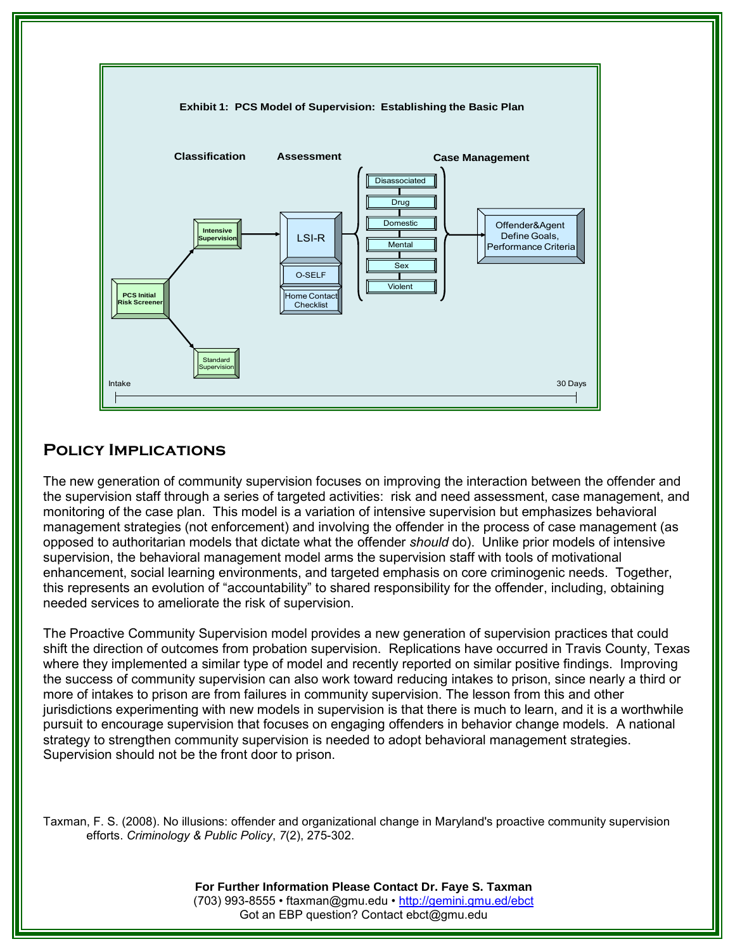

### **Policy Implications**

The new generation of community supervision focuses on improving the interaction between the offender and the supervision staff through a series of targeted activities: risk and need assessment, case management, and monitoring of the case plan. This model is a variation of intensive supervision but emphasizes behavioral management strategies (not enforcement) and involving the offender in the process of case management (as opposed to authoritarian models that dictate what the offender *should* do). Unlike prior models of intensive supervision, the behavioral management model arms the supervision staff with tools of motivational enhancement, social learning environments, and targeted emphasis on core criminogenic needs. Together, this represents an evolution of "accountability" to shared responsibility for the offender, including, obtaining needed services to ameliorate the risk of supervision.

The Proactive Community Supervision model provides a new generation of supervision practices that could shift the direction of outcomes from probation supervision. Replications have occurred in Travis County, Texas where they implemented a similar type of model and recently reported on similar positive findings. Improving the success of community supervision can also work toward reducing intakes to prison, since nearly a third or more of intakes to prison are from failures in community supervision. The lesson from this and other jurisdictions experimenting with new models in supervision is that there is much to learn, and it is a worthwhile pursuit to encourage supervision that focuses on engaging offenders in behavior change models. A national strategy to strengthen community supervision is needed to adopt behavioral management strategies. Supervision should not be the front door to prison.

Taxman, F. S. (2008). No illusions: offender and organizational change in Maryland's proactive community supervision efforts. *Criminology & Public Policy*, *7*(2), 275-302.

> **For Further Information Please Contact Dr. Faye S. Taxman** (703) 993-8555 • [ftaxman@gmu.edu](mailto:ftaxman@gmu.edu) •<http://gemini.gmu.ed/ebct> Got an EBP question? Contact ebct@gmu.edu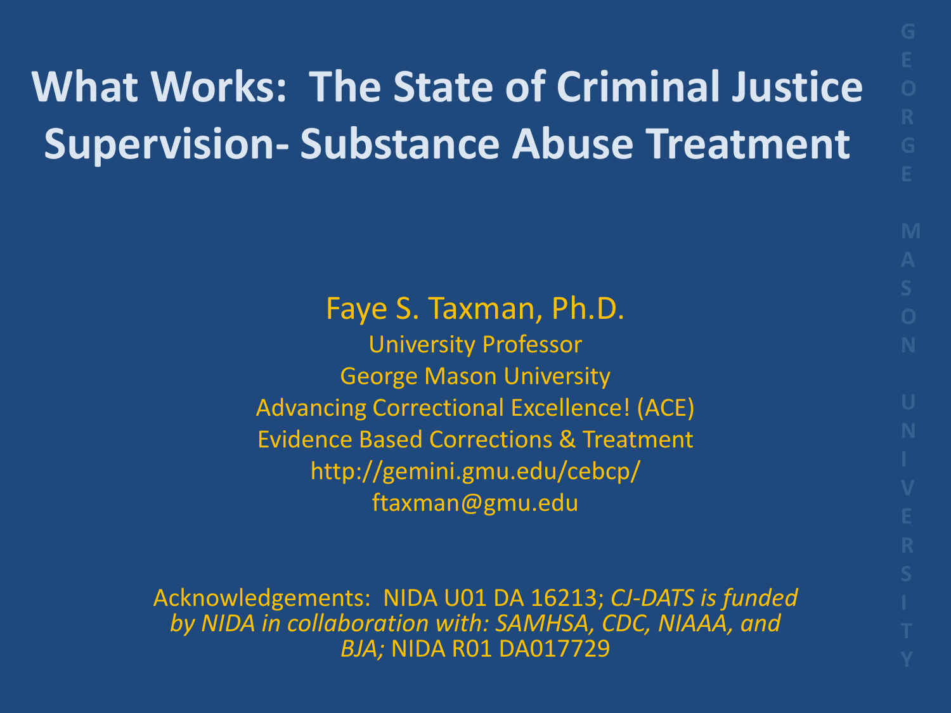## **What Works: The State of Criminal Justice Supervision- Substance Abuse Treatment**

Faye S. Taxman, Ph.D.

University Professor George Mason University Advancing Correctional Excellence! (ACE) Evidence Based Corrections & Treatment http://gemini.gmu.edu/cebcp/ ftaxman@gmu.edu

Acknowledgements: NIDA U01 DA 16213; *CJ-DATS is funded by NIDA in collaboration with: SAMHSA, CDC, NIAAA, and BJA;* NIDA R01 DA017729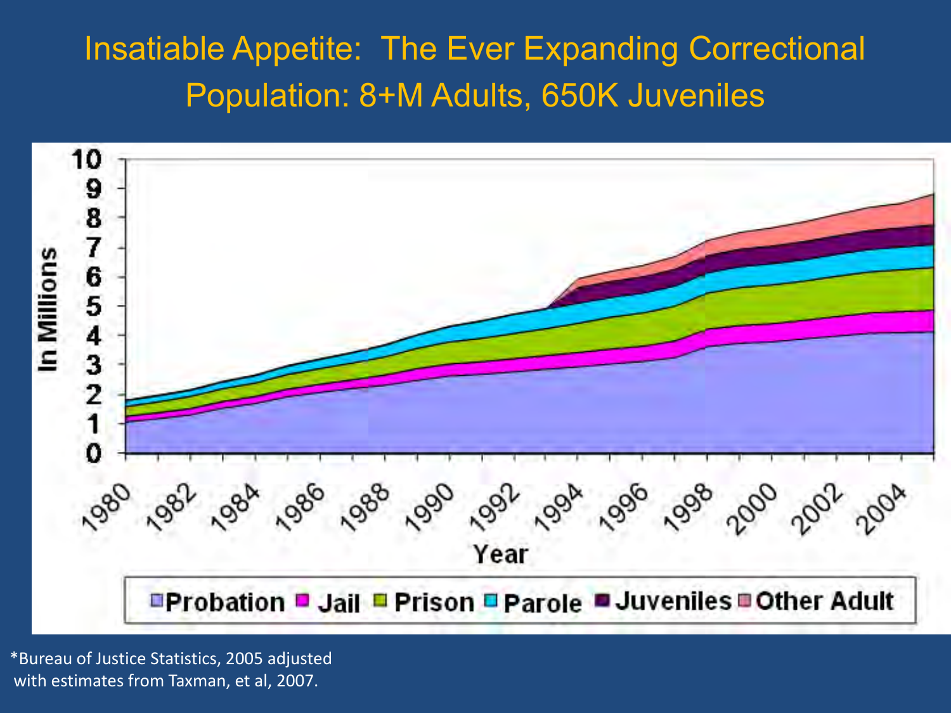### Insatiable Appetite: The Ever Expanding Correctional Population: 8+M Adults, 650K Juveniles



\*Bureau of Justice Statistics, 2005 adjusted with estimates from Taxman, et al, 2007.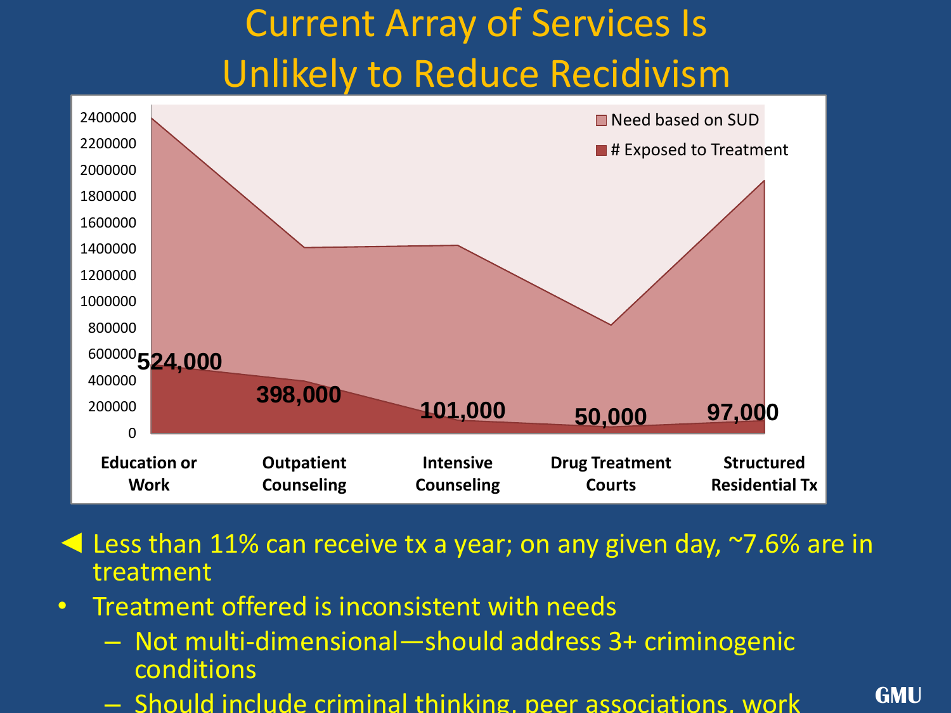### Current Array of Services Is Unlikely to Reduce Recidivism



◄ Less than 11% can receive tx a year; on any given day, ~7.6% are in treatment

- Treatment offered is inconsistent with needs
	- Not multi-dimensional—should address 3+ criminogenic conditions
	- Should include criminal thinking, peer associations, work

**GMU**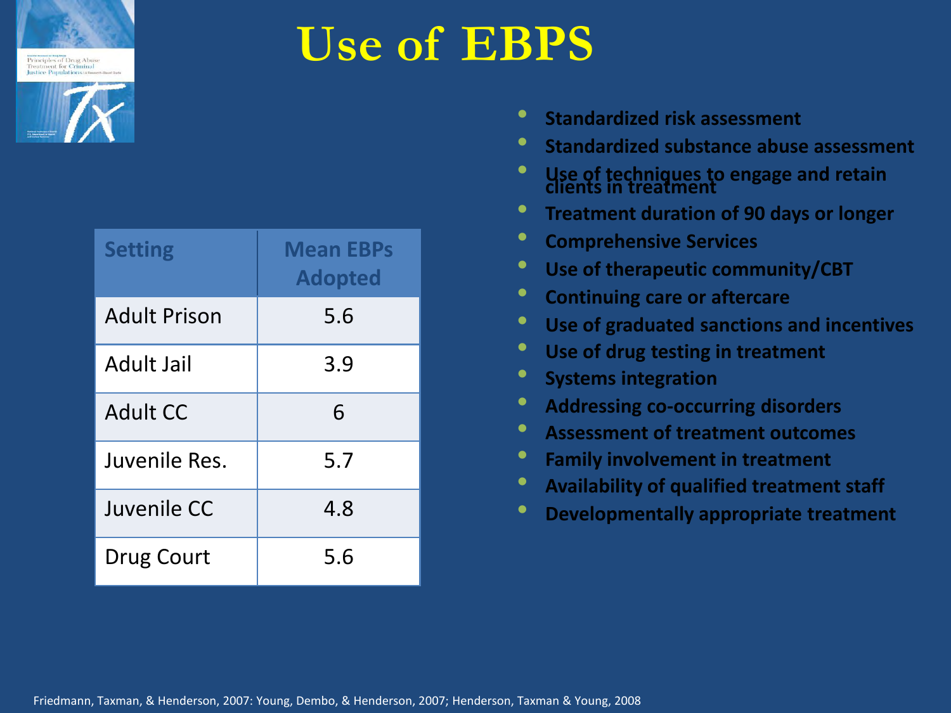



| <b>Setting</b>      | <b>Mean EBPs</b><br><b>Adopted</b> |  |  |
|---------------------|------------------------------------|--|--|
| <b>Adult Prison</b> | 5.6                                |  |  |
| Adult Jail          | 3.9                                |  |  |
| Adult CC            | 6                                  |  |  |
| Juvenile Res.       | 5.7                                |  |  |
| Juvenile CC         | 4.8                                |  |  |
| Drug Court          | 5.6                                |  |  |

### **Use of EBPS**

- **Standardized risk assessment**
- **Standardized substance abuse assessment**
- **Use of techniques to engage and retain clients in treatment**
- **Treatment duration of 90 days or longer**
- **Comprehensive Services**
- **Use of therapeutic community/CBT**
- **Continuing care or aftercare**
- **Use of graduated sanctions and incentives**
- **Use of drug testing in treatment**
- **Systems integration**
- **Addressing co-occurring disorders**
- **Assessment of treatment outcomes**
- **Family involvement in treatment**
- **Availability of qualified treatment staff**
- **Developmentally appropriate treatment**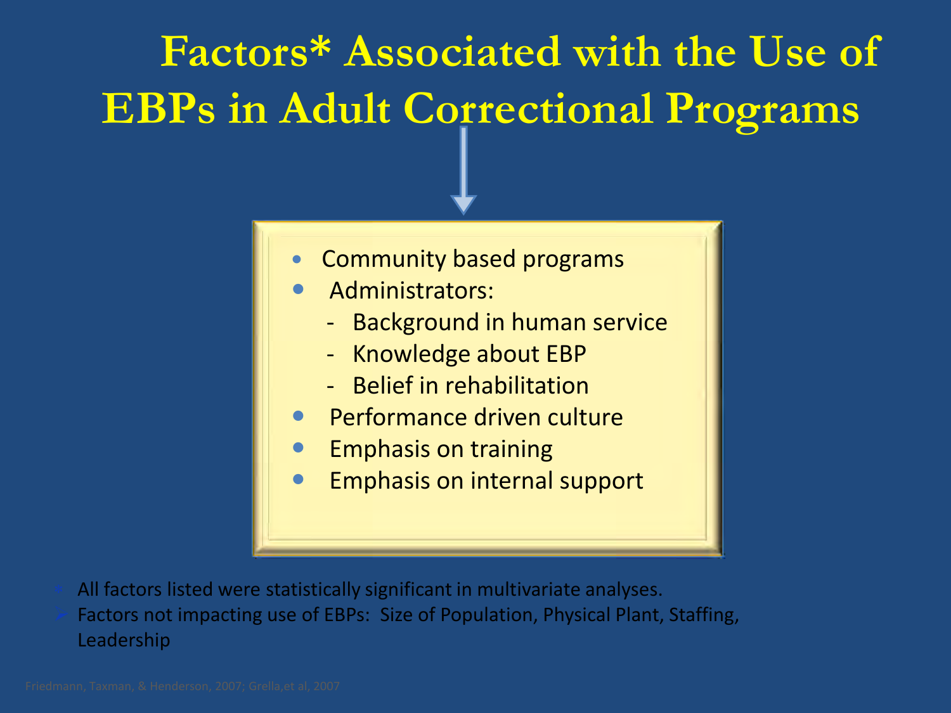# **Factors\* Associated with the Use of EBPs in Adult Correctional Programs**

- Community based programs
- Administrators:
	- Background in human service
	- Knowledge about EBP
	- Belief in rehabilitation
- Performance driven culture
- **•** Emphasis on training
- Emphasis on internal support

- All factors listed were statistically significant in multivariate analyses.
- Factors not impacting use of EBPs: Size of Population, Physical Plant, Staffing, Leadership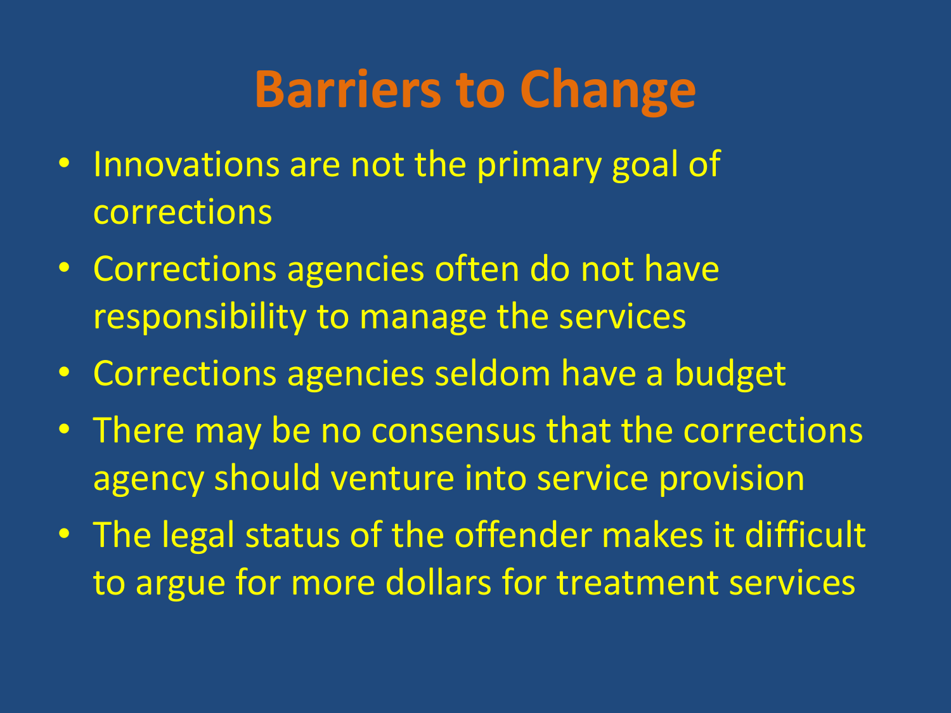# **Barriers to Change**

- Innovations are not the primary goal of corrections
- Corrections agencies often do not have responsibility to manage the services
- Corrections agencies seldom have a budget
- There may be no consensus that the corrections agency should venture into service provision
- The legal status of the offender makes it difficult to argue for more dollars for treatment services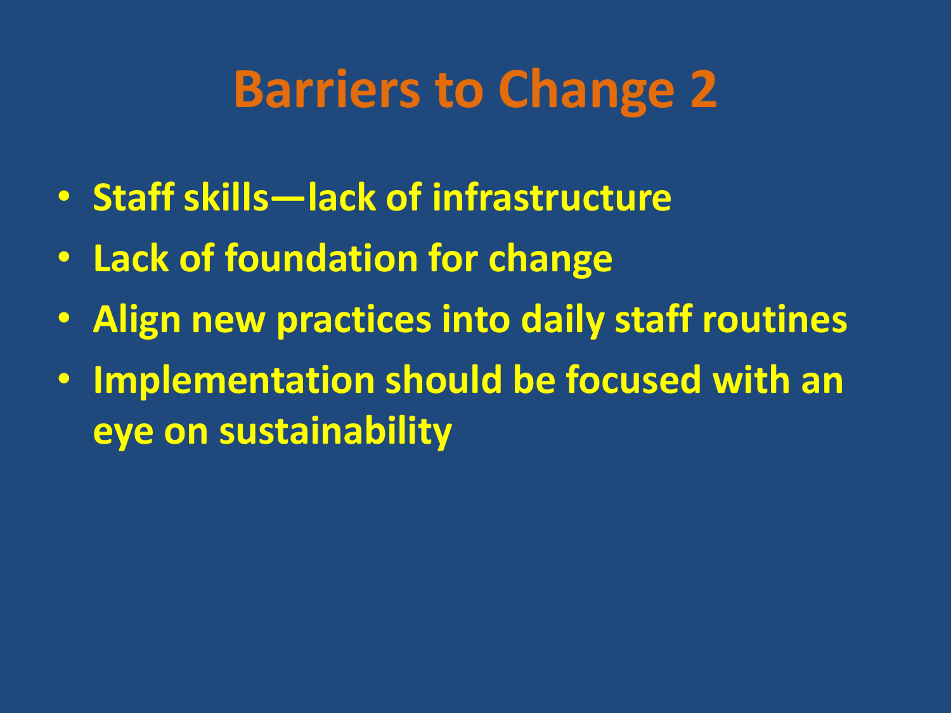# **Barriers to Change 2**

- **Staff skills—lack of infrastructure**
- **Lack of foundation for change**
- **Align new practices into daily staff routines**
- **Implementation should be focused with an eye on sustainability**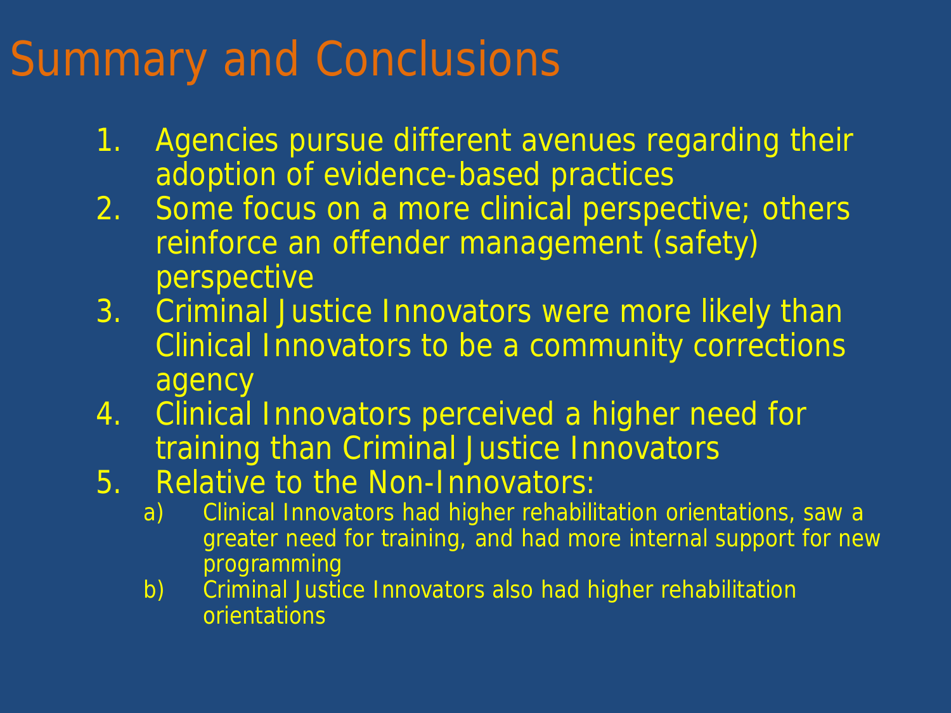## Summary and Conclusions

- 1. Agencies pursue different avenues regarding their adoption of evidence-based practices
- 2. Some focus on a more clinical perspective; others reinforce an offender management (safety) perspective
- 3. Criminal Justice Innovators were more likely than Clinical Innovators to be a community corrections agency
- 4. Clinical Innovators perceived a higher need for training than Criminal Justice Innovators
- 5. Relative to the Non-Innovators:
	- a) Clinical Innovators had higher rehabilitation orientations, saw a greater need for training, and had more internal support for new programming
	- b) Criminal Justice Innovators also had higher rehabilitation orientations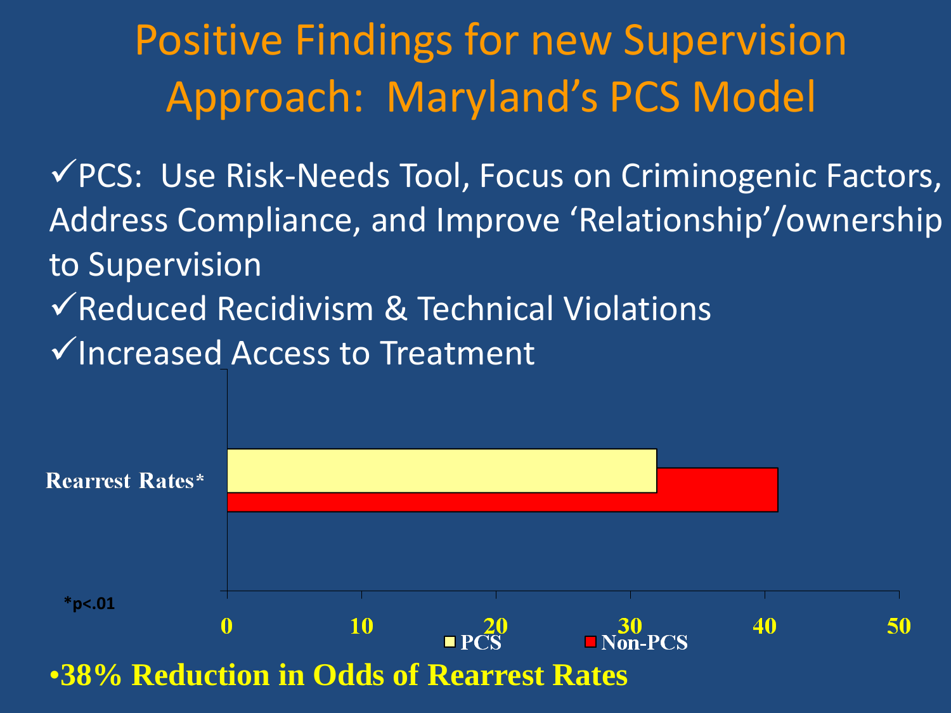## Positive Findings for new Supervision Approach: Maryland's PCS Model

PCS: Use Risk-Needs Tool, Focus on Criminogenic Factors, Address Compliance, and Improve 'Relationship'/ownership to Supervision  $\checkmark$  Reduced Recidivism & Technical Violations

 $\checkmark$  Increased Access to Treatment

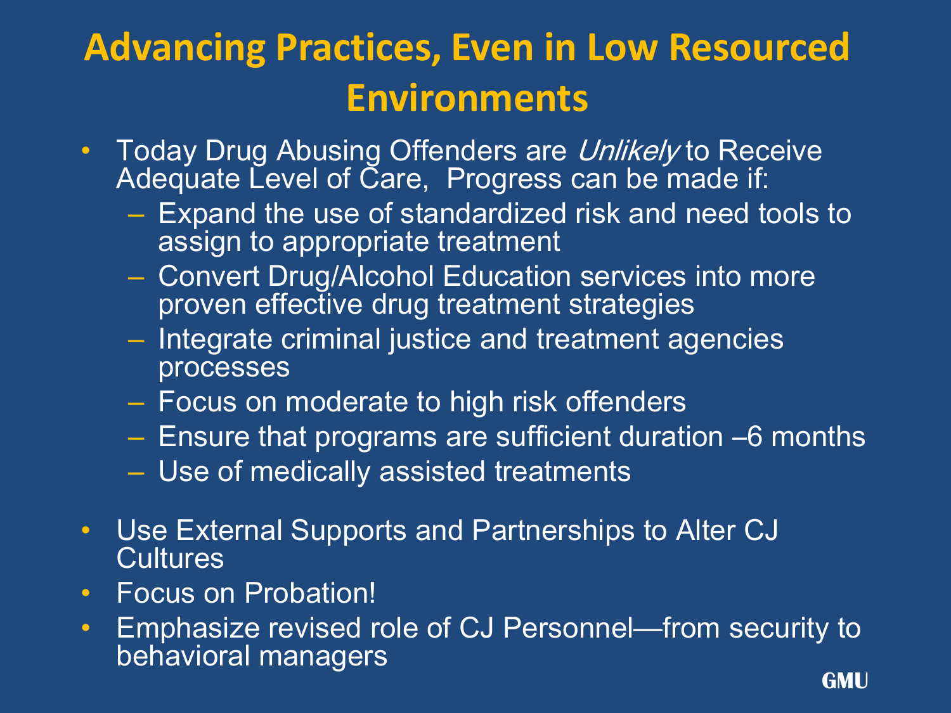### **Advancing Practices, Even in Low Resourced Environments**

- Today Drug Abusing Offenders are Unlikely to Receive Adequate Level of Care, Progress can be made if:
	- Expand the use of standardized risk and need tools to assign to appropriate treatment
	- Convert Drug/Alcohol Education services into more proven effective drug treatment strategies
	- Integrate criminal justice and treatment agencies processes
	- Focus on moderate to high risk offenders
	- Ensure that programs are sufficient duration –6 months
	- Use of medically assisted treatments
- Use External Supports and Partnerships to Alter CJ **Cultures**
- Focus on Probation!
- Emphasize revised role of CJ Personnel—from security to behavioral managers